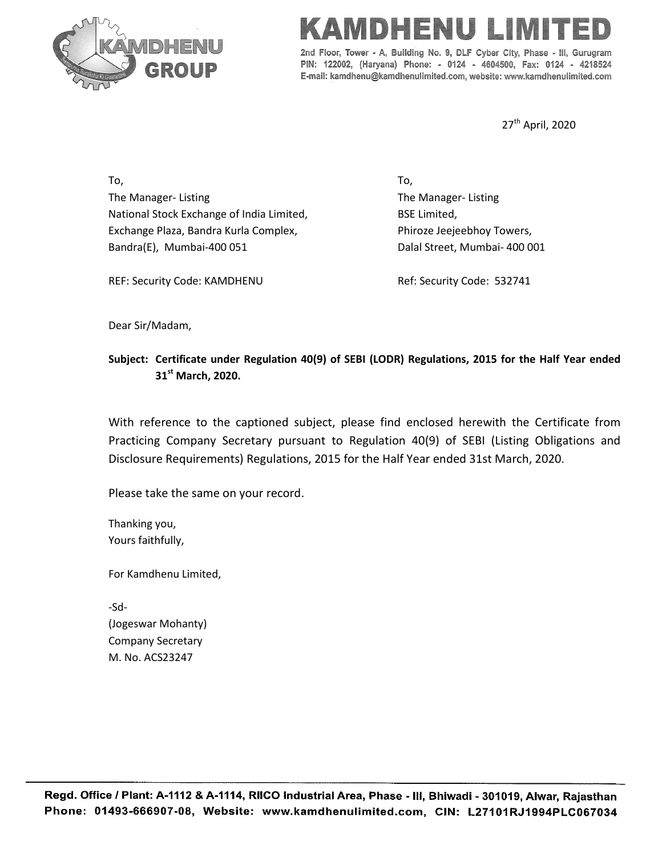

## INEE

2nd Floor, Tower - A, Building No. 9, DLF Cyber City, Phase - III, Gurugram PIN: 122002, (Haryana) Phone: - 0124 - 4604500, Fax: 0124 - 4218524 E-mail: kamdhenu@kamdhenulimited.com, website: www.kamdhenulimited.com

27<sup>th</sup> April, 2020

To, The Manager- Listing National Stock Exchange of India Limited, Exchange Plaza, Bandra Kurla Complex, Bandra(E), Mumbai-400 051

To, The Manager- Listing BSE Limited, Phiroze Jeejeebhoy Towers, Dalal Street, Mumbai- 400 001

REF: Security Code: KAMDHENU

Ref: Security Code: 532741

Dear Sir/Madam,

## **Subject: Certificate under Regulation 40(9) of SEBI (LODR) Regulations, 2015 for the Half Year ended 31st March, 2020.**

With reference to the captioned subject, please find enclosed herewith the Certificate from Practicing Company Secretary pursuant to Regulation 40(9) of SEBI (Listing Obligations and Disclosure Requirements) Regulations, 2015 for the Half Year ended 31st March, 2020.

Please take the same on your record.

Thanking you, Yours faithfully,

For Kamdhenu Limited,

-Sd- (Jogeswar Mohanty) Company Secretary M. No. ACS23247